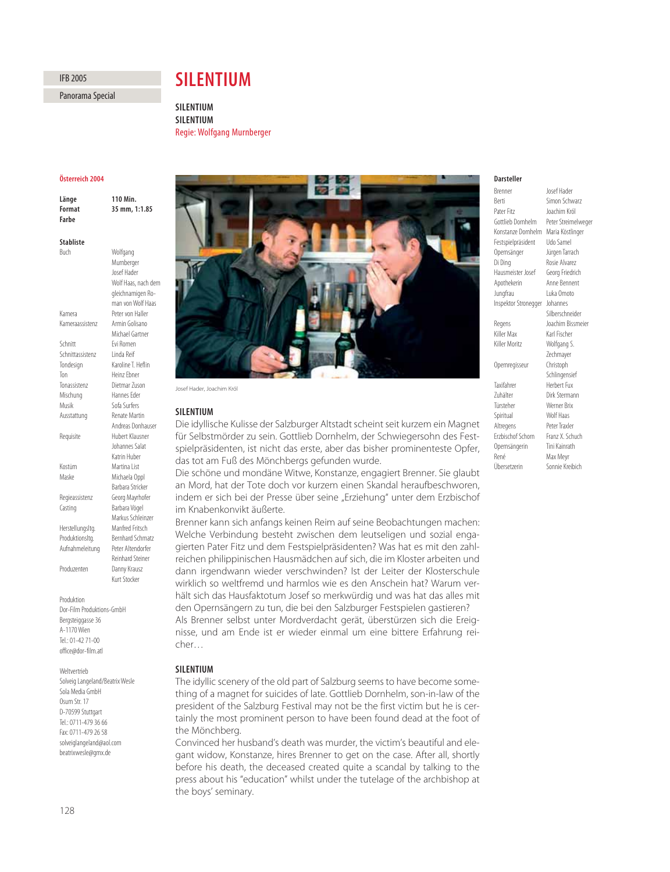# **IFB 2005**

Panorama Special Panorama Special

# **SII ENTIUM**

**SILENTIUM SILENTIUM Regie: Wolf** Regie: Wolfgang Murnberger

# Österreich 2004

**110 Min** Länge **Format** 35 mm, 1:1.85 Earhe **Stabliste** Buch Wolfgang **Stabliste**

|                  | Murnberger              |
|------------------|-------------------------|
|                  | <b>Insef Hader</b>      |
|                  | Wolf Haas, nach dem     |
|                  | gleichnamigen Ro-       |
|                  | man von Wolf Haas       |
| Kamera           | Peter von Haller        |
| Kameraassistenz  | Armin Golisano          |
|                  | Michael Gartner         |
| Schnitt          | Fvi Romen               |
| Schnittassistenz | Linda Reif              |
| Tondesign        | Karoline T. Heflin      |
| Ton              | Heinz Fhner             |
| Tonassistenz     | Dietmar Zuson           |
| Mischung         | Hannes Eder             |
| Musik            | Sofa Surfers            |
| Ausstattung      | <b>Renate Martin</b>    |
|                  | Andreas Donhauser       |
| Requisite        | Hubert Klausner         |
|                  | <b>Inhannes Salat</b>   |
|                  | Katrin Huber            |
| Kostüm           | Martina List            |
| Maske            | Michaela Oppl           |
|                  | Barbara Stricker        |
| Regieassistenz   | Georg Mayrhofer         |
| Casting          | Barbara Vögel           |
|                  | Markus Schleinzer       |
| Herstellungsltg. | Manfred Fritsch         |
| Produktionsltg.  | <b>Bernhard Schmatz</b> |
| Aufnahmeleitung  | Peter Altendorfer       |
|                  | Reinhard Steiner        |
| Produzenten      | Danny Krausz            |
|                  | Kurt Stocker            |

Produktion Dor-Film Produktions-GmbH Bergsteiggasse 36 A-1170 Wien Tel.: 01-42 71-00 office@dor-film.atl

Weltvertrieb Solveig Langeland/Beatrix Wesle Sola Media GmbH Osum Str. 17 D-70599 Stuttgart Tel.: 0711-479 36 66 Fax: 0711-479 26 58 solveiglangeland@aol.com beatrixwesle@gmx.de



Josef Hader, Joachim Król

# **SILENTIUM**

Die idyllische Kulisse der Salzburger Altstadt scheint seit kurzem ein Magnet für Selbstmörder zu sein. Gottlieb Dornhelm, der Schwiegersohn des Festspielpräsidenten, ist nicht das erste, aber das bisher prominenteste Opfer, das tot am Fuß des Mönchbergs gefunden wurde.

Die schöne und mondäne Witwe, Konstanze, engagiert Brenner. Sie glaubt an Mord, hat der Tote doch vor kurzem einen Skandal heraufbeschworen, indem er sich bei der Presse über seine "Erziehung" unter dem Erzbischof im Knabenkonvikt äußerte.

Brenner kann sich anfangs keinen Reim auf seine Beobachtungen machen: Welche Verbindung besteht zwischen dem leutseligen und sozial engagierten Pater Fitz und dem Festspielpräsidenten? Was hat es mit den zahlreichen philippinischen Hausmädchen auf sich, die im Kloster arbeiten und dann irgendwann wieder verschwinden? Ist der Leiter der Klosterschule wirklich so weltfremd und harmlos wie es den Anschein hat? Warum verhält sich das Hausfaktotum Josef so merkwürdig und was hat das alles mit den Opernsängern zu tun, die bei den Salzburger Festspielen gastieren? Als Brenner selbst unter Mordverdacht gerät, überstürzen sich die Ereignisse, und am Ende ist er wieder einmal um eine bittere Erfahrung reicher…

# **SILENTIUM**

The idyllic scenery of the old part of Salzburg seems to have become something of a magnet for suicides of late. Gottlieb Dornhelm, son-in-law of the president of the Salzburg Festival may not be the first victim but he is certainly the most prominent person to have been found dead at the foot of the Mönchberg.

Convinced her husband's death was murder, the victim's beautiful and elegant widow, Konstanze, hires Brenner to get on the case. After all, shortly before his death, the deceased created quite a scandal by talking to the press about his "education" whilst under the tutelage of the archbishop at the boys' seminary.

# Darsteller

**Rrenner** Brenner Josef Hader Berti Simon Schwarz Pater Fitz<br>Gottlieb Dornhelm Peter Streime Peter Streimelweger Konstanze Dornhelm Maria Köstlinger Festspielpräsident Udo Samel Opernsänger Jürgen Tarrach Di Ding Rosie Alvarez Hausmeister Josef Georg Friedrich Jungfrau Luka Omoto Inspektor Stronegger Johannes Regens Joachim Bissmeier<br>Killer Max Karl Fischer Killer Moritz Wolfgang S. Opernregisseur Christoph Taxifahrer Herbert Fux<br>
Tuhälter Dirk Sterma Zuhälter Dirk Stermann<br>Türsteher Werner Brix Spiritual Wolf Haas Altregens Peter Traxler<br>Erzbischof Schorn Franz X. Schuch Erzbischof Schorn Opernsängerin Tini Kainrath René Max Meyr Übersetzerin Sonnie Kreibich

Anne Bennent Silberschneider Karl Fischer Zechmayer Schlingensief Werner Brix